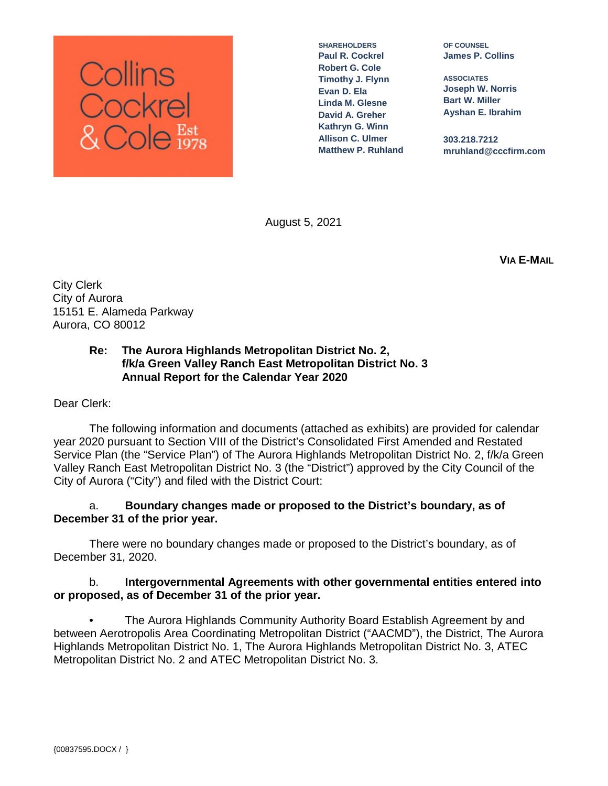

**SHAREHOLDERS Paul R. Cockrel Robert G. Cole Timothy J. Flynn Evan D. Ela Linda M. Glesne David A. Greher Kathryn G. Winn Allison C. Ulmer Matthew P. Ruhland**

**OF COUNSEL James P. Collins**

**ASSOCIATES Joseph W. Norris Bart W. Miller Ayshan E. Ibrahim**

**303.218.7212 mruhland@cccfirm.com**

August 5, 2021

**VIA E-MAIL**

City Clerk City of Aurora 15151 E. Alameda Parkway Aurora, CO 80012

# **Re: The Aurora Highlands Metropolitan District No. 2, f/k/a Green Valley Ranch East Metropolitan District No. 3 Annual Report for the Calendar Year 2020**

Dear Clerk:

The following information and documents (attached as exhibits) are provided for calendar year 2020 pursuant to Section VIII of the District's Consolidated First Amended and Restated Service Plan (the "Service Plan") of The Aurora Highlands Metropolitan District No. 2, f/k/a Green Valley Ranch East Metropolitan District No. 3 (the "District") approved by the City Council of the City of Aurora ("City") and filed with the District Court:

# a. **Boundary changes made or proposed to the District's boundary, as of December 31 of the prior year.**

There were no boundary changes made or proposed to the District's boundary, as of December 31, 2020.

# b. **Intergovernmental Agreements with other governmental entities entered into or proposed, as of December 31 of the prior year.**

• The Aurora Highlands Community Authority Board Establish Agreement by and between Aerotropolis Area Coordinating Metropolitan District ("AACMD"), the District, The Aurora Highlands Metropolitan District No. 1, The Aurora Highlands Metropolitan District No. 3, ATEC Metropolitan District No. 2 and ATEC Metropolitan District No. 3.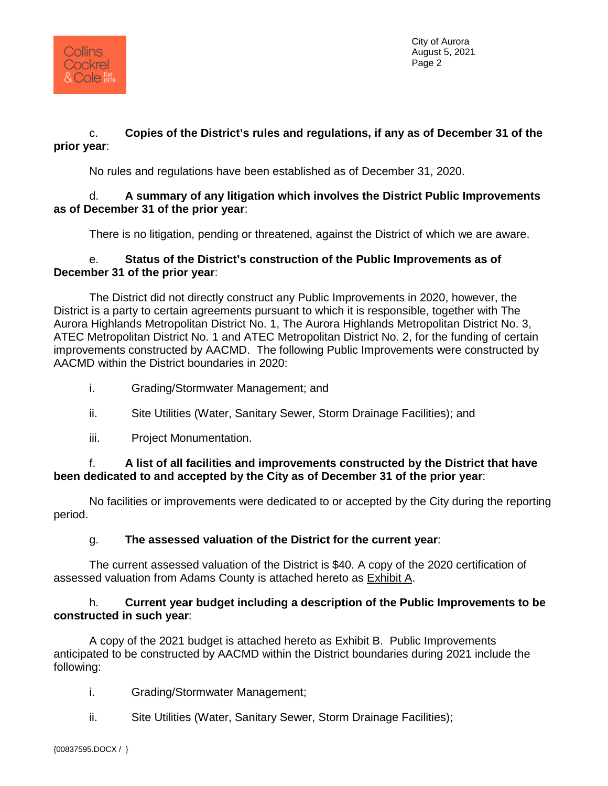

City of Aurora August 5, 2021 Page 2

# c. **Copies of the District's rules and regulations, if any as of December 31 of the prior year**:

No rules and regulations have been established as of December 31, 2020.

# d. **A summary of any litigation which involves the District Public Improvements as of December 31 of the prior year**:

There is no litigation, pending or threatened, against the District of which we are aware.

# e. **Status of the District's construction of the Public Improvements as of December 31 of the prior year**:

The District did not directly construct any Public Improvements in 2020, however, the District is a party to certain agreements pursuant to which it is responsible, together with The Aurora Highlands Metropolitan District No. 1, The Aurora Highlands Metropolitan District No. 3, ATEC Metropolitan District No. 1 and ATEC Metropolitan District No. 2, for the funding of certain improvements constructed by AACMD. The following Public Improvements were constructed by AACMD within the District boundaries in 2020:

- i. Grading/Stormwater Management; and
- ii. Site Utilities (Water, Sanitary Sewer, Storm Drainage Facilities); and
- iii. Project Monumentation.

# f. **A list of all facilities and improvements constructed by the District that have been dedicated to and accepted by the City as of December 31 of the prior year**:

No facilities or improvements were dedicated to or accepted by the City during the reporting period.

# g. **The assessed valuation of the District for the current year**:

The current assessed valuation of the District is \$40. A copy of the 2020 certification of assessed valuation from Adams County is attached hereto as Exhibit A.

# h. **Current year budget including a description of the Public Improvements to be constructed in such year**:

A copy of the 2021 budget is attached hereto as Exhibit B. Public Improvements anticipated to be constructed by AACMD within the District boundaries during 2021 include the following:

i. Grading/Stormwater Management;

ii. Site Utilities (Water, Sanitary Sewer, Storm Drainage Facilities);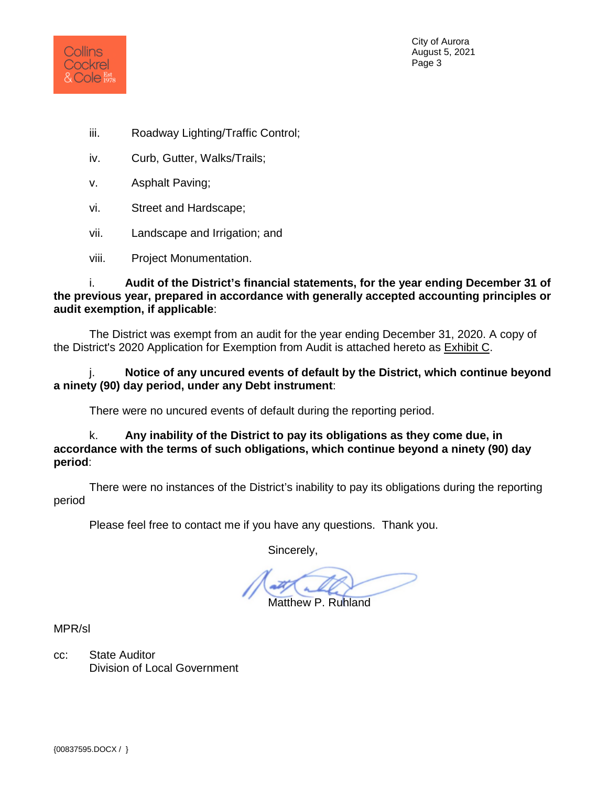

City of Aurora August 5, 2021 Page 3

- iii. Roadway Lighting/Traffic Control;
- iv. Curb, Gutter, Walks/Trails;
- v. Asphalt Paving;
- vi. Street and Hardscape;
- vii. Landscape and Irrigation; and
- viii. Project Monumentation.

i. **Audit of the District's financial statements, for the year ending December 31 of the previous year, prepared in accordance with generally accepted accounting principles or audit exemption, if applicable**:

The District was exempt from an audit for the year ending December 31, 2020. A copy of the District's 2020 Application for Exemption from Audit is attached hereto as Exhibit C.

j. **Notice of any uncured events of default by the District, which continue beyond a ninety (90) day period, under any Debt instrument**:

There were no uncured events of default during the reporting period.

k. **Any inability of the District to pay its obligations as they come due, in accordance with the terms of such obligations, which continue beyond a ninety (90) day period**:

There were no instances of the District's inability to pay its obligations during the reporting period

Please feel free to contact me if you have any questions. Thank you.

Sincerely,

Matthew P. Ruhland

MPR/sl

cc: State Auditor Division of Local Government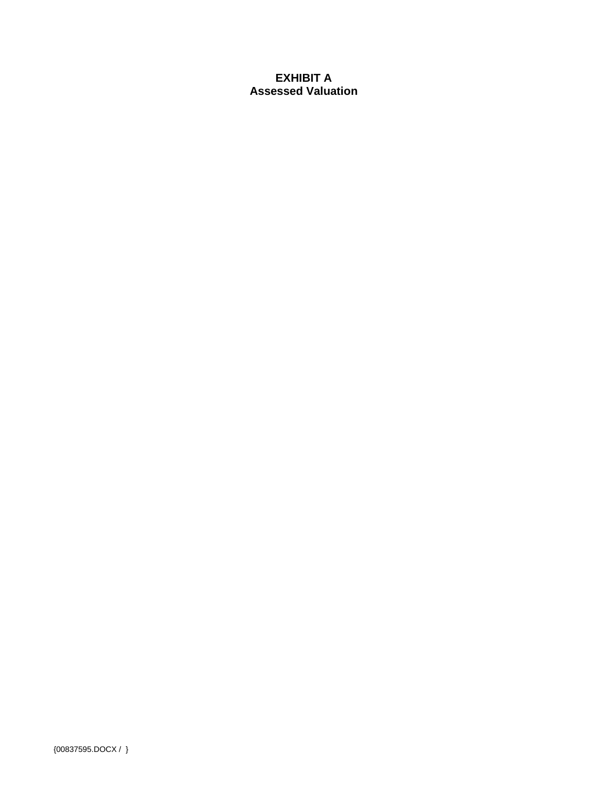# **EXHIBIT A Assessed Valuation**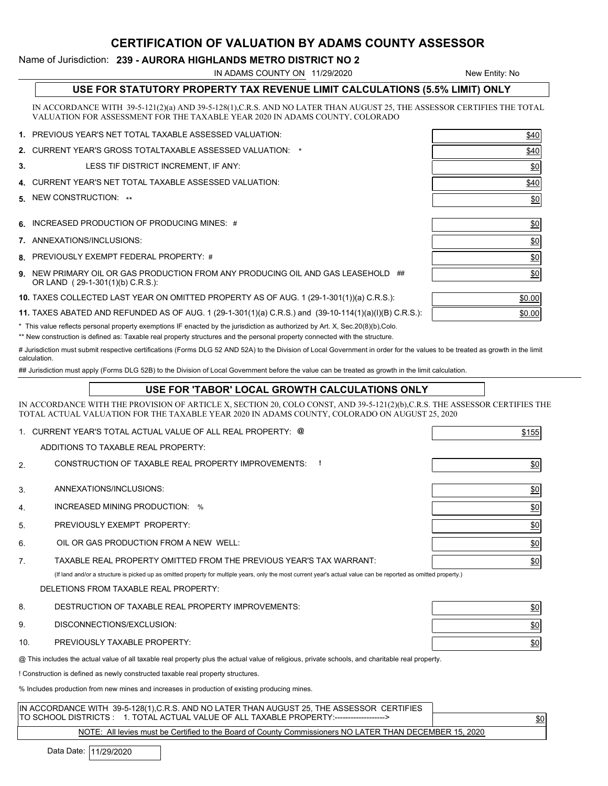### CERTIFICATION OF VALUATION BY ADAMS COUNTY ASSESSOR

#### Name of Jurisdiction: 239 - AURORA HIGHLANDS METRO DISTRICT NO 2

IN ADAMS COUNTY ON 11/29/2020

New Entity: No

| USE FOR STATUTORY PROPERTY TAX REVENUE LIMIT CALCULATIONS (5.5% LIMIT) ONLY |
|-----------------------------------------------------------------------------|
|                                                                             |

IN ACCORDANCE WITH 39-5-121(2)(a) AND 39-5-128(1),C.R.S. AND NO LATER THAN AUGUST 25, THE ASSESSOR CERTIFIES THE TOTAL VALUATION FOR ASSESSMENT FOR THE TAXABLE YEAR 2020 IN ADAMS COUNTY, COLORADO

|    | 1. PREVIOUS YEAR'S NET TOTAL TAXABLE ASSESSED VALUATION:   | \$40 |
|----|------------------------------------------------------------|------|
|    | 2. CURRENT YEAR'S GROSS TOTALTAXABLE ASSESSED VALUATION: * | \$40 |
| 3. | LESS TIF DISTRICT INCREMENT, IF ANY:                       | \$0  |
|    | 4. CURRENT YEAR'S NET TOTAL TAXABLE ASSESSED VALUATION:    | \$40 |
|    | 5 NEW CONSTRUCTION: **                                     | \$0  |
|    |                                                            |      |
|    | 6. INCREASED PRODUCTION OF PRODUCING MINES: #              | \$0  |
|    | 7. ANNEXATIONS/INCLUSIONS:                                 | \$0  |
|    |                                                            |      |

- 8. PREVIOUSLY EXEMPT FEDERAL PROPERTY: #
- **9.** NEW PRIMARY OIL OR GAS PRODUCTION FROM ANY PRODUCING OIL AND GAS LEASEHOLD  $\#$ OR LAND ( 29-1-301(1)(b) C.R.S.):

**10.** TAXES COLLECTED LAST YEAR ON OMITTED PROPERTY AS OF AUG. 1 (29-1-301(1))(a) C.R.S.):  $\qquad \qquad \qquad$  \$0.00

**11.** TAXES ABATED AND REFUNDED AS OF AUG. 1 (29-1-301(1)(a) C.R.S.) and  $(39$ -10-114(1)(a)(I)(B) C.R.S.):  $\qquad \qquad$   $\qquad \qquad$   $\qquad \qquad$ 

\* This value reflects personal property exemptions IF enacted by the jurisdiction as authorized by Art. X, Sec.20(8)(b),Colo.

\*\* New construction is defined as: Taxable real property structures and the personal property connected with the structure.

# Jurisdiction must submit respective certifications (Forms DLG 52 AND 52A) to the Division of Local Government in order for the values to be treated as growth in the limit calculation.

## Jurisdiction must apply (Forms DLG 52B) to the Division of Local Government before the value can be treated as growth in the limit calculation.

#### USE FOR 'TABOR' LOCAL GROWTH CALCULATIONS ONLY

IN ACCORDANCE WITH THE PROVISION OF ARTICLE X, SECTION 20, COLO CONST, AND 39-5-121(2)(b),C.R.S. THE ASSESSOR CERTIFIES THE TOTAL ACTUAL VALUATION FOR THE TAXABLE YEAR 2020 IN ADAMS COUNTY, COLORADO ON AUGUST 25, 2020

|     | CURRENT YEAR'S TOTAL ACTUAL VALUE OF ALL REAL PROPERTY: @                                                                                                        | \$155           |  |  |  |  |
|-----|------------------------------------------------------------------------------------------------------------------------------------------------------------------|-----------------|--|--|--|--|
|     | ADDITIONS TO TAXABLE REAL PROPERTY:                                                                                                                              |                 |  |  |  |  |
| 2.  | CONSTRUCTION OF TAXABLE REAL PROPERTY IMPROVEMENTS:                                                                                                              | \$0             |  |  |  |  |
| 3.  | ANNEXATIONS/INCLUSIONS:                                                                                                                                          | 60              |  |  |  |  |
| 4.  | INCREASED MINING PRODUCTION: %                                                                                                                                   | $\frac{10}{20}$ |  |  |  |  |
| 5.  | PREVIOUSLY EXEMPT PROPERTY:                                                                                                                                      | $\frac{$0 }{2}$ |  |  |  |  |
| 6.  | OIL OR GAS PRODUCTION FROM A NEW WELL:                                                                                                                           | 60              |  |  |  |  |
| 7.  | TAXABLE REAL PROPERTY OMITTED FROM THE PREVIOUS YEAR'S TAX WARRANT:                                                                                              | 60              |  |  |  |  |
|     | (If land and/or a structure is picked up as omitted property for multiple years, only the most current year's actual value can be reported as omitted property.) |                 |  |  |  |  |
|     | DELETIONS FROM TAXABLE REAL PROPERTY:                                                                                                                            |                 |  |  |  |  |
| 8.  | DESTRUCTION OF TAXABLE REAL PROPERTY IMPROVEMENTS:                                                                                                               | 60              |  |  |  |  |
| 9.  | DISCONNECTIONS/EXCLUSION:                                                                                                                                        | 60              |  |  |  |  |
| 10. | PREVIOUSLY TAXABLE PROPERTY:                                                                                                                                     | 60              |  |  |  |  |
|     | @ This includes the actual value of all taxable real property plus the actual value of religious, private schools, and charitable real property.                 |                 |  |  |  |  |
|     | ! Construction is defined as newly constructed taxable real property structures.                                                                                 |                 |  |  |  |  |
|     | % Includes production from new mines and increases in production of existing producing mines.                                                                    |                 |  |  |  |  |
|     |                                                                                                                                                                  |                 |  |  |  |  |

| IN ACCORDANCE WITH 39-5-128(1),C.R.S. AND NO LATER THAN AUGUST 25, THE ASSESSOR CERTIFIES           |  |
|-----------------------------------------------------------------------------------------------------|--|
| ITO SCHOOL DISTRICTS: 1. TOTAL ACTUAL VALUE OF ALL TAXABLE PROPERTY:------------------>             |  |
| MOTE . All cases would consider the theory of Occupation of Matter and LATED THAN DEOEMBED AF, 0000 |  |

NOTE: All levies must be Certified to the Board of County Commissioners NO LATER THAN DECEMBER 15, 2020

Data Date: 11/29/2020

| <u> 440 l</u>   |
|-----------------|
| $\frac{10}{20}$ |
| \$0             |
| $\frac{$0}{}$   |
| $\frac{$0}{2}$  |
| \$0             |

| \$0.00 |
|--------|
| \$0.00 |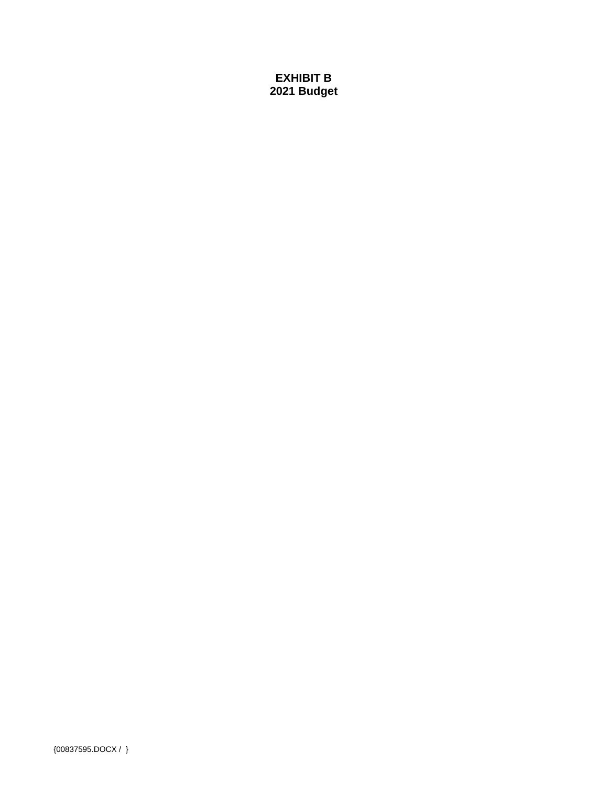# **EXHIBIT B** 2021 Budget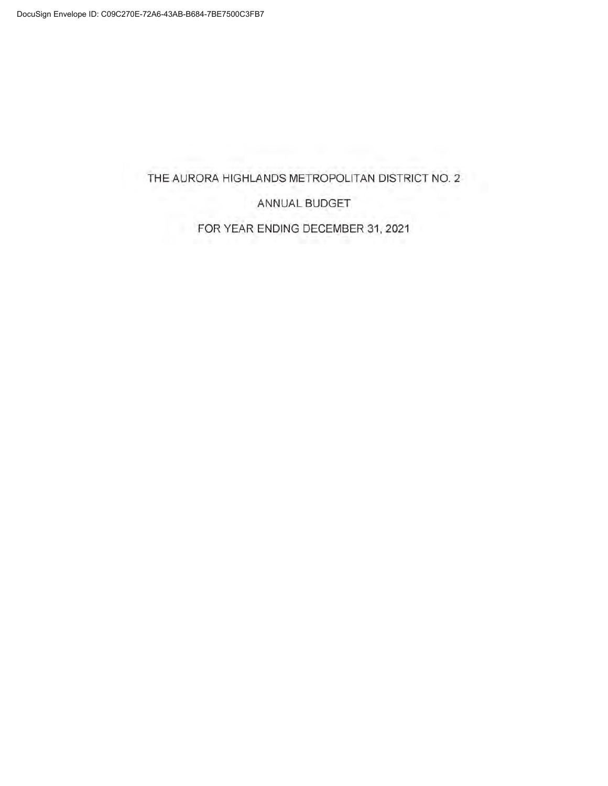# THE AURORA HIGHLANDS METROPOLITAN DISTRICT NO. 2

ANNUAL BUDGET

FOR YEAR ENDING DECEMBER 31, 2021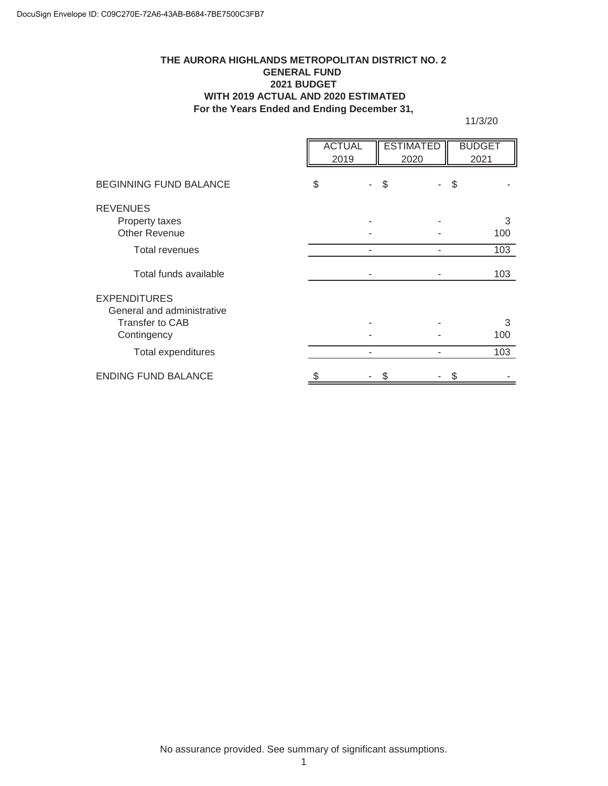#### **For the Years Ended and Ending December 31, THE AURORA HIGHLANDS METROPOLITAN DISTRICT NO. 2 GENERAL FUND 2021 BUDGET WITH 2019 ACTUAL AND 2020 ESTIMATED**

11/3/20

|                                                   | <b>ACTUAL</b><br>2019 |    | <b>ESTIMATED</b><br>2020 | <b>BUDGET</b><br>2021 |
|---------------------------------------------------|-----------------------|----|--------------------------|-----------------------|
| <b>BEGINNING FUND BALANCE</b>                     | \$                    | \$ |                          | \$                    |
| <b>REVENUES</b><br>Property taxes                 |                       |    |                          | 3                     |
| <b>Other Revenue</b>                              |                       |    |                          | 100                   |
| <b>Total revenues</b>                             |                       |    |                          | 103                   |
| Total funds available                             |                       |    |                          | 103                   |
| <b>EXPENDITURES</b><br>General and administrative |                       |    |                          |                       |
| Transfer to CAB                                   |                       |    |                          | 3                     |
| Contingency                                       |                       |    |                          | 100                   |
| Total expenditures                                |                       |    |                          | 103                   |
| <b>ENDING FUND BALANCE</b>                        |                       |    |                          |                       |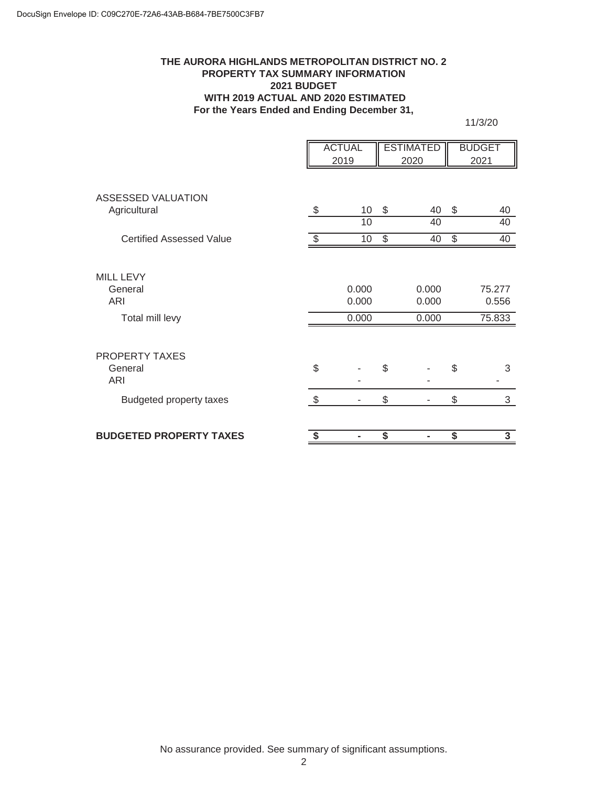#### **THE AURORA HIGHLANDS METROPOLITAN DISTRICT NO. 2 PROPERTY TAX SUMMARY INFORMATION 2021 BUDGET WITH 2019 ACTUAL AND 2020 ESTIMATED For the Years Ended and Ending December 31,**

11/3/20

|                                                       |                         | <b>ACTUAL</b><br>2019   |                         | <b>ESTIMATED</b><br>2020 |                                      | <b>BUDGET</b><br>2021     |
|-------------------------------------------------------|-------------------------|-------------------------|-------------------------|--------------------------|--------------------------------------|---------------------------|
|                                                       |                         |                         |                         |                          |                                      |                           |
| <b>ASSESSED VALUATION</b><br>Agricultural             | $\sqrt[6]{3}$           | 10                      | $\$\$                   | 40                       | \$                                   | 40                        |
|                                                       |                         | 10                      |                         | 40                       |                                      | 40                        |
| <b>Certified Assessed Value</b>                       | $\sqrt[6]{\frac{1}{2}}$ | 10 <sup>°</sup>         | $\frac{1}{2}$           | 40                       | $\frac{1}{2}$                        | 40                        |
| <b>MILL LEVY</b><br>General<br>ARI<br>Total mill levy |                         | 0.000<br>0.000<br>0.000 |                         | 0.000<br>0.000<br>0.000  |                                      | 75.277<br>0.556<br>75.833 |
| PROPERTY TAXES<br>General<br>ARI                      | \$                      |                         | \$                      |                          | \$                                   | 3                         |
| <b>Budgeted property taxes</b>                        | $\sqrt[6]{3}$           |                         | \$                      |                          | \$                                   | 3                         |
| <b>BUDGETED PROPERTY TAXES</b>                        | \$                      | -                       | $\overline{\mathbf{s}}$ | ۰                        | $\overline{\boldsymbol{\mathsf{s}}}$ | 3                         |

No assurance provided. See summary of significant assumptions.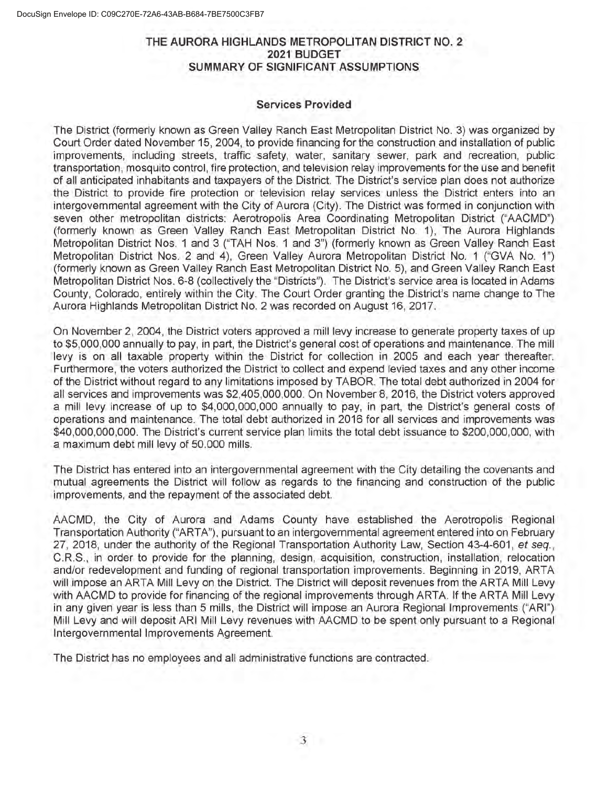### THE AURORA HIGHLANDS METROPOLITAN DISTRICT NO. 2 2021 BUDGET SUMMARY OF SIGNIFICANT ASSUMPTIONS

#### Services Provided

The District (formerly known as Green Valley Ranch East Metropolitan District No. 3) was organized by Court Order dated November 15, 2004, to provide financing for the construction and installation of public improvements, including streets, traffic safety, water, sanitary sewer, park and recreation, public transportation, mosquito control, fire protection, and television relay improvements for the use and benefit of all anticipated inhabitants and taxpayers of the District. The District's service plan does not authorize the District to provide fire protection or television relay services unless the District enters into an intergovernmental agreement with the City of Aurora (City). The District was formed in conjunction with seven other metropolitan districts: Aerotropolis Area Coordinating Metropolitan District ("AACMD") (formerly known as Green Valley Ranch East Metropolitan District No 1), The Aurora Highlands Metropolitan District Nos. <sup>1</sup> and 3 ("TAH Nos. <sup>1</sup> and 3") (formerly known as Green Valley Ranch East Metropolitan District Nos. 2 and 4), Green Valley Aurora Metropolitan District No. <sup>1</sup> ("GVA No. 1") (formerly known as Green Valley Ranch East Metropolitan District No. 5), and Green Valley Ranch East Metropolitan District Nos. 6-8 (collectively the ''Districts"). The District's service area is located in Adams County, Colorado, entirely within the City. The Court Order granting the District's name change to The Aurora Highlands Metropolitan District No. 2 was recorded on August 16, 2017.

On November 2, 2004, the District voters approved a mill levy increase to generate property taxes of up to \$5,000,000 annually to pay, in part, the District's general cost of operations and maintenance. The mill levy is on all taxable property within the District for collection in 2005 and each year thereafter. Furthermore, the voters authorized the District to collect and expend levied taxes and any other income of the District without regard to any limitations imposed by TABOR. The total debt authorized in 2004 for all services and improvements was \$2,405,000,000. On Novembers, 2016, the District voters approved a mill levy increase of up to \$4,000,000,000 annually to pay, in part, the District's general costs of operations and maintenance. The total debt authorized in 2016 for all services and improvements was \$40,000,000,000. The District's current service plan limits the total debt issuance to \$200,000,000, with a maximum debt mill levy of 50.000 mills.

The District has entered into an intergovernmental agreement with the City detailing the covenants and mutual agreements the District will follow as regards to the financing and construction of the public improvements, and the repayment of the associated debt.

AACMD, the City of Aurora and Adams County have established the Aerotropolis Regional Transportation Authority ("ARTA"), pursuant to an intergovernmental agreement entered into on February 27, 2018, under the authority of the Regional Transportation Authority Law, Section 43-4-601, et seq. C.R.S., in order to provide for the planning, design, acquisition, construction, installation, relocation and/or redevelopment and funding of regional transportation improvements. Beginning in 2019, ARTA will impose an ARTA Mill Levy on the District. The District will deposit revenues from the ARTA Mill Levy with AACMD to provide for financing of the regional improvements through ARTA. If the ARTA Mill Levy in any given year is less than 5 mills, the District will impose an Aurora Regional Improvements ("ARI") Mill Levy and will deposit ARI Mill Levy revenues with AACMD to be spent only pursuant to a Regional Intergovernmental Improvements Agreement.

The District has no employees and all administrative functions are contracted.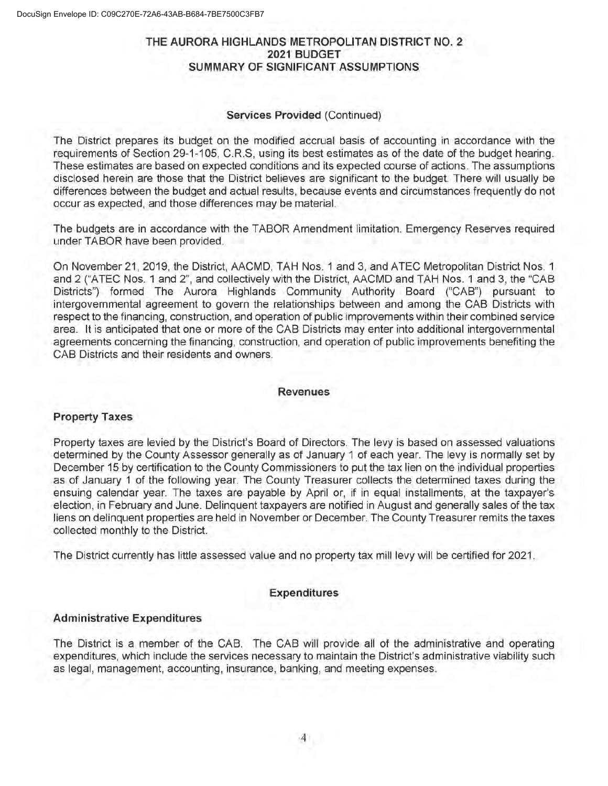## THE AURORA HIGHLANDS METROPOLITAN DISTRICT NO. 2 2021 BUDGET SUMMARY OF SIGNIFICANT ASSUMPTIONS

#### Services Provided (Continued)

The District prepares its budget on the modified accrual basis of accounting in accordance with the requirements of Section 29-1-105, C.R.S, using its best estimates as of the date of the budget hearing. These estimates are based on expected conditions and its expected course of actions The assumptions disclosed herein are those that the District believes are significant to the budget. There will usually be differences between the budget and actual results, because events and circumstances frequently do not occur as expected, and those differences may be material.

The budgets are in accordance with the TABOR Amendment limitation. Emergency Reserves required under TABOR have been provided

On November 21, 2019, the District, AACMD, TAH Nos. <sup>1</sup> and 3, and ATEC Metropolitan District Nos. <sup>1</sup> and 2 ("ATEC Nos. <sup>1</sup> and 2", and collectively with the District, AACMD and TAH Nos. <sup>1</sup> and 3, the "CAB Districts") formed The Aurora Highlands Community Authority Board ("CAB") pursuant to intergovernmental agreement to govern the relationships between and among the CAB Districts with respect to the financing, construction, and operation of public improvements within their combined service area. It is anticipated that one or more of the CAB Districts may enter into additional intergovernmental agreements concerning the financing, construction, and operation of public improvements benefiting the CAB Districts and their residents and owners.

#### **Revenues**

### Property Taxes

Property taxes are levied by the District's Board of Directors. The levy is based on assessed valuations determined by the County Assessor generally as of January <sup>1</sup> of each year. The levy is normally set by December 15 by certification to the County Commissioners to put the tax lien on the individual properties as of January <sup>1</sup> of the following year. The County Treasurer collects the determined taxes during the ensuing calendar year. The taxes are payable by April or, if in equal installments, at the taxpayer's election, in February and June. Delinquent taxpayers are notified in August and generally sales of the tax liens on delinquent properties are held in November or December. The County Treasurer remits the taxes collected monthly to the District.

The District currently has little assessed value and no property tax mill levy will be certified for 2021 .

#### Expenditures

#### Administrative Expenditures

The District is a member of the CAB. The CAB will provide all of the administrative and operating expenditures, which include the services necessary to maintain the District's administrative viability such as legal, management, accounting, insurance, banking, and meeting expenses.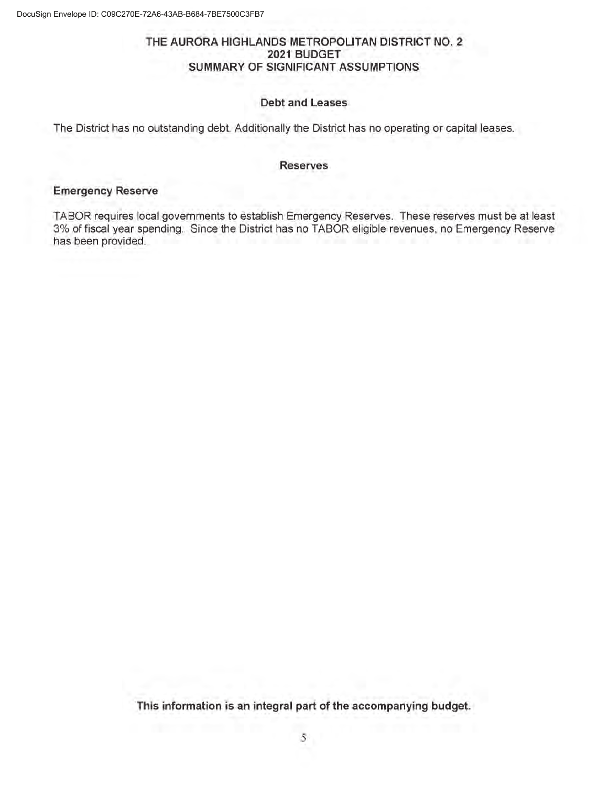### THE AURORA HIGHLANDS METROPOLITAN DISTRICT NO. 2 2021 BUDGET SUMMARY OF SIGNIFICANT ASSUMPTIONS

#### Debt and Leases

The District has no outstanding debt. Additionally the District has no operating or capital leases.

#### Reserves

#### Emergency Reserve

TABOR requires local governments to establish Emergency Reserves. These reserves must be at least 3% of fiscal year spending. Since the District has no TABOR eligible revenues, no Emergency Reserve has been provided.

This information is an integral part of the accompanying budget.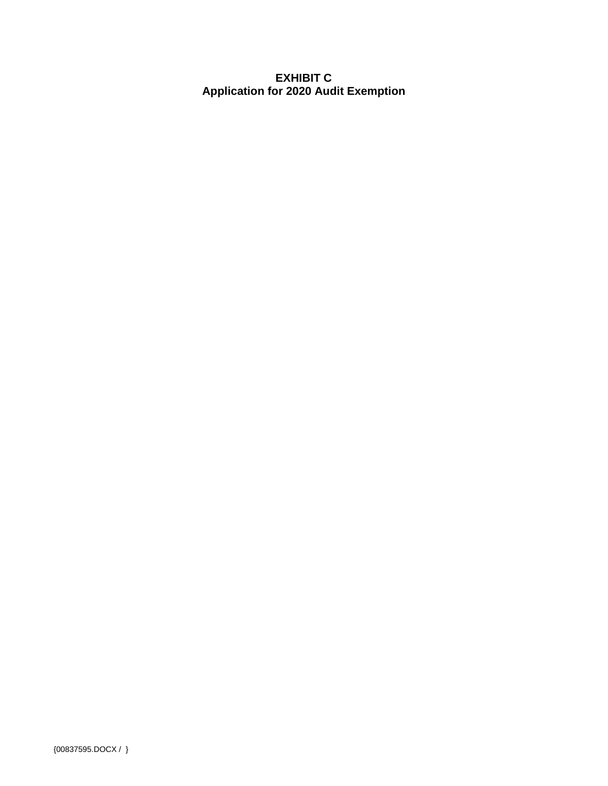# **EXHIBIT C Application for 2020 Audit Exemption**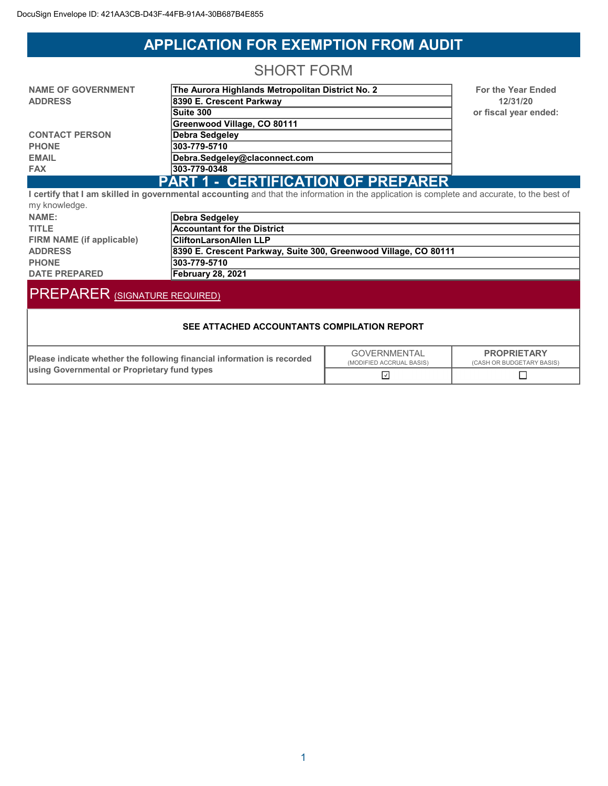# **APPLICATION FOR EXEMPTION FROM AUDIT**

# **SHORT FORM**

| <b>NAME OF GOVERNMENT</b> | The Aurora Highlands Metropolitan District No. 2 |  |
|---------------------------|--------------------------------------------------|--|
| <b>ADDRESS</b>            | 8390 E. Crescent Parkway                         |  |
|                           | Suite 300                                        |  |
|                           | Greenwood Village, CO 80111                      |  |
| <b>CONTACT PERSON</b>     | Debra Sedgeley                                   |  |
| <b>PHONE</b>              | 303-779-5710                                     |  |
| <b>EMAIL</b>              | Debra.Sedgeley@claconnect.com                    |  |
| <b>FAX</b>                | 303-779-0348                                     |  |
|                           | <b>L CERTIFICATION OF PREPARER</b><br>PART 1     |  |

For the Year Ended 12/31/20 or fiscal year ended:

#### <u>UERTIFIUATIUN UF FREPARER</u> <u>Fani i </u> I certify that I am skilled in governmental accounting and that the information in the application is complete and accurate, to the best of my knowledge

| $ ,$ $ .$ $$ $$ $$ $$ $$ $$ |                                                                  |
|-----------------------------|------------------------------------------------------------------|
| NAME:                       | Debra Sedgeley                                                   |
| <b>TITLE</b>                | <b>Accountant for the District</b>                               |
| FIRM NAME (if applicable)   | <b>CliftonLarsonAllen LLP</b>                                    |
| <b>ADDRESS</b>              | 8390 E. Crescent Parkway, Suite 300, Greenwood Village, CO 80111 |
| <b>PHONE</b>                | 1303-779-5710                                                    |
| <b>DATE PREPARED</b>        | <b>February 28, 2021</b>                                         |

# PREPARER (SIGNATURE REQUIRED)

#### SEE ATTACHED ACCOUNTANTS COMPILATION REPORT

| Please indicate whether the following financial information is recorded | GOVERNMENTAL<br>(MODIFIED ACCRUAL BASIS) | <b>PROPRIETARY</b><br>(CASH OR BUDGETARY BASIS) |  |
|-------------------------------------------------------------------------|------------------------------------------|-------------------------------------------------|--|
| <b>Lusing Governmental or Proprietary fund types</b>                    |                                          |                                                 |  |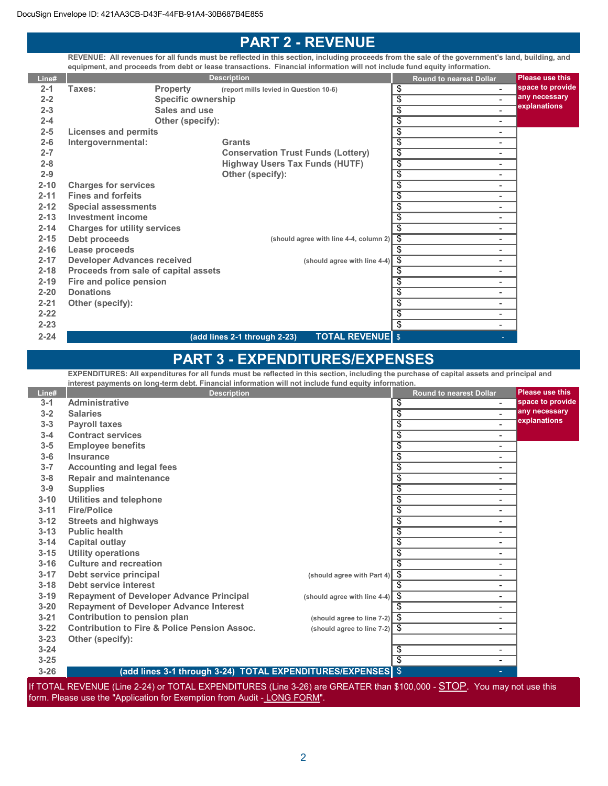Supplies

**Insurance** 

Fire/Police

Public health

Capital outlay

Utility operations Culture and recreation

Other (specify):

Debt service interest

Utilities and telephone

Repair and maintenance

Accounting and legal fees

 $3 - 18$ 

 $3 - 20$ 

# PART 2 - REVENUE

REVENUE: All revenues for all funds must be reflected in this section, including proceeds from the sale of the government's land, building, and equipment, and proceeds from debt or lease transactions. Financial information will not include fund equity information.

| Line#    |                                      |                           | <b>Description</b>                                                                                                                         | <b>Round to nearest Dollar</b>              | <b>Please use this</b> |
|----------|--------------------------------------|---------------------------|--------------------------------------------------------------------------------------------------------------------------------------------|---------------------------------------------|------------------------|
| $2 - 1$  | Taxes:                               | <b>Property</b>           | (report mills levied in Question 10-6)                                                                                                     | \$                                          | space to provide       |
| $2 - 2$  |                                      | <b>Specific ownership</b> |                                                                                                                                            | $\overline{\$}$<br>$\blacksquare$           | any necessary          |
| $2 - 3$  |                                      | Sales and use             |                                                                                                                                            | $\overline{\$}$<br>$\overline{a}$           | explanations           |
| $2 - 4$  |                                      | Other (specify):          |                                                                                                                                            | $\overline{\$}$<br>$\blacksquare$           |                        |
| $2 - 5$  | <b>Licenses and permits</b>          |                           |                                                                                                                                            | \$<br>$\overline{\phantom{a}}$              |                        |
| $2 - 6$  | Intergovernmental:                   |                           | <b>Grants</b>                                                                                                                              | \$<br>$\overline{\phantom{0}}$              |                        |
| $2 - 7$  |                                      |                           | <b>Conservation Trust Funds (Lottery)</b>                                                                                                  | $\overline{\$}$<br>$\overline{\phantom{a}}$ |                        |
| $2 - 8$  |                                      |                           | <b>Highway Users Tax Funds (HUTF)</b>                                                                                                      | \$<br>$\overline{\phantom{a}}$              |                        |
| $2 - 9$  |                                      |                           | Other (specify):                                                                                                                           | $\overline{\$}$<br>$\overline{\phantom{a}}$ |                        |
| $2 - 10$ | <b>Charges for services</b>          |                           |                                                                                                                                            | \$<br>$\overline{\phantom{0}}$              |                        |
| $2 - 11$ | <b>Fines and forfeits</b>            |                           |                                                                                                                                            | $\overline{\$}$<br>$\blacksquare$           |                        |
| $2 - 12$ | <b>Special assessments</b>           |                           |                                                                                                                                            | $\overline{\$}$<br>$\blacksquare$           |                        |
| $2 - 13$ | <b>Investment income</b>             |                           |                                                                                                                                            | $\overline{\$}$<br>$\blacksquare$           |                        |
| $2 - 14$ | <b>Charges for utility services</b>  |                           |                                                                                                                                            | $\overline{\$}$<br>$\blacksquare$           |                        |
| $2 - 15$ | Debt proceeds                        |                           | (should agree with line 4-4, column 2)                                                                                                     | $\overline{\mathfrak{s}}$<br>$\blacksquare$ |                        |
| $2 - 16$ | Lease proceeds                       |                           |                                                                                                                                            | $\overline{\$}$<br>$\blacksquare$           |                        |
| $2 - 17$ | <b>Developer Advances received</b>   |                           | (should agree with line 4-4)                                                                                                               | $\overline{\$}$<br>$\blacksquare$           |                        |
| $2 - 18$ | Proceeds from sale of capital assets |                           |                                                                                                                                            | $\overline{\$}$<br>$\overline{a}$           |                        |
| $2 - 19$ | Fire and police pension              |                           |                                                                                                                                            | \$<br>$\overline{\phantom{0}}$              |                        |
| $2 - 20$ | <b>Donations</b>                     |                           |                                                                                                                                            | \$<br>$\blacksquare$                        |                        |
| $2 - 21$ | Other (specify):                     |                           |                                                                                                                                            | $\overline{\$}$<br>$\blacksquare$           |                        |
| $2 - 22$ |                                      |                           |                                                                                                                                            | $\overline{\$}$<br>$\overline{\phantom{a}}$ |                        |
| $2 - 23$ |                                      |                           |                                                                                                                                            | $\overline{\$}$<br>$\blacksquare$           |                        |
| $2 - 24$ |                                      |                           | <b>TOTAL REVENUE</b> \$<br>(add lines 2-1 through 2-23)                                                                                    |                                             |                        |
|          |                                      |                           | <b>PART 3 - EXPENDITURES/EXPENSES</b>                                                                                                      |                                             |                        |
|          |                                      |                           | EXPENDITURES: All expenditures for all funds must be reflected in this section, including the purchase of capital assets and principal and |                                             |                        |
|          |                                      |                           | interest payments on long-term debt. Financial information will not include fund equity information.                                       |                                             |                        |
| Line#    |                                      |                           | <b>Description</b>                                                                                                                         | <b>Round to nearest Dollar</b>              | <b>Please use this</b> |
| $3 - 1$  | Administrative                       |                           |                                                                                                                                            | \$<br>$\mathbf{r}$                          | space to provide       |
| $3 - 2$  | <b>Salaries</b>                      |                           |                                                                                                                                            | $\overline{\$}$<br>$\blacksquare$           | any necessary          |
| $3 - 3$  | <b>Payroll taxes</b>                 |                           |                                                                                                                                            | $\overline{\$}$<br>$\blacksquare$           | explanations           |
| $3 - 4$  | <b>Contract services</b>             |                           |                                                                                                                                            | $\overline{\$}$<br>$\overline{\phantom{a}}$ |                        |
| $3 - 5$  | <b>Employee benefits</b>             |                           |                                                                                                                                            | $\overline{\mathfrak{s}}$<br>$\overline{a}$ |                        |

 $\sim$  . The set of  $\sim$  .

 $\sim$  . The set of  $\sim$  .  $\sim$  . The set of  $\sim$  .  $\sim$  . The set of  $\sim$  .  $\sim$  . The set of  $\sim$  .

 $\sim$  . The set of  $\sim$  .

 $\sim$  . The set of  $\sim$  .

 $\sim$  . The set of  $\sim$  .

 $\sim$  . The set of  $\sim$  .  $\sim$  . The set of  $\sim$  .  $\sim$  . The set of  $\sim$  .  $\sim$  . The set of  $\sim$  .  $\sim$  . The set of  $\sim$  .  $\sim$  . The set of  $\sim$  .  $\sim$  . The set of  $\sim$  .  $\sim$  . The set of  $\sim$  .

 $\sim$  . The set of  $\sim$  .

 $\sim$  . The set of  $\sim$  .

 $\sim$  . The contract of the contract of the contract of the contract of the contract of the contract of the contract of the contract of the contract of the contract of the contract of the contract of the contract of the co

 $\sim$  . The set of  $\sim$  .

If TOTAL REVENUE (Line 2-24) or TOTAL EXPENDITURES (Line 3-26) are GREATER than \$100,000 - **STOP**. You may not use this form. Please use the "Application for Exemption from Audit - LONG FORM".

(add lines 3-1 through 3-24) TOTAL EXPENDITURES/EXPENSES \$

Tqobbqp ^ka efd et ^vp ( .

**604** 3-17 Debt service principal example and observe the control of the service principal

3-19 Repayment of Developer Advance Principal (should agree with line 4-4)

Repayment of Developer Advance Interest

3-21 Contribution to pension plan electronic match match (should agree to line 7-2) 3-22 Contribution to Fire & Police Pension Assoc. (Should agree to line 7-2)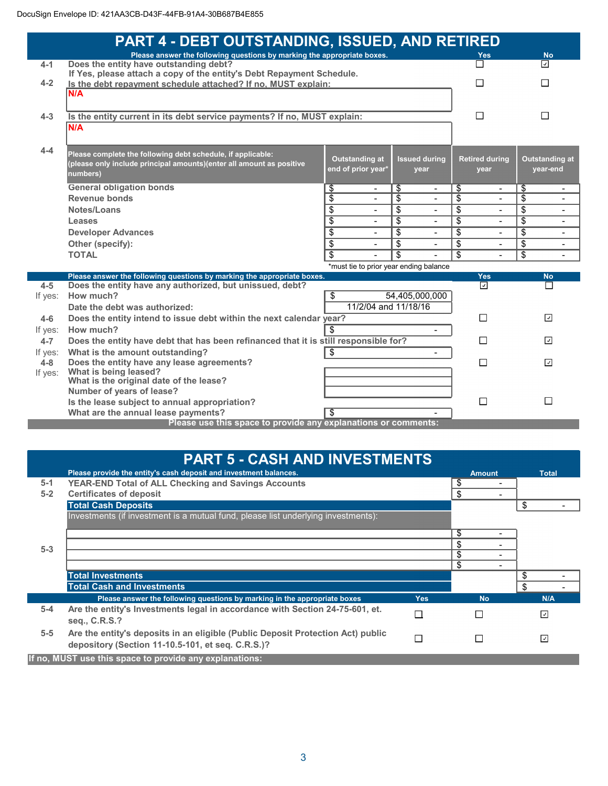|                    | <b>PART 4 - DEBT OUTSTANDING, ISSUED, AND RETIRED</b>                                                                                           |                                      |                                   |                                   |                                             |
|--------------------|-------------------------------------------------------------------------------------------------------------------------------------------------|--------------------------------------|-----------------------------------|-----------------------------------|---------------------------------------------|
|                    | Please answer the following questions by marking the appropriate boxes.                                                                         |                                      |                                   | Yes                               | <b>No</b>                                   |
| $4 - 1$            | Does the entity have outstanding debt?<br>If Yes, please attach a copy of the entity's Debt Repayment Schedule.                                 |                                      |                                   |                                   | ⊡                                           |
| $4 - 2$            | Is the debt repayment schedule attached? If no, MUST explain:                                                                                   |                                      |                                   |                                   | П                                           |
|                    | N/A                                                                                                                                             |                                      |                                   |                                   |                                             |
|                    |                                                                                                                                                 |                                      |                                   |                                   |                                             |
| $4 - 3$            | Is the entity current in its debt service payments? If no, MUST explain:                                                                        |                                      |                                   | П                                 | П                                           |
|                    | N/A                                                                                                                                             |                                      |                                   |                                   |                                             |
| 4-4                | Please complete the following debt schedule, if applicable:<br>(please only include principal amounts)(enter all amount as positive<br>numbers) | Outstanding at<br>end of prior year* | <b>Issued during</b><br>vear      | <b>Retired during</b><br>vear     | Outstanding at<br>year-end                  |
|                    | <b>General obligation bonds</b>                                                                                                                 | \$<br>$\overline{\phantom{0}}$       | \$<br>$\blacksquare$              | \$<br>۰                           | \$                                          |
|                    | Revenue bonds                                                                                                                                   | \$<br>$\blacksquare$                 | \$<br>$\blacksquare$              | \$<br>$\overline{\phantom{0}}$    | \$                                          |
|                    | Notes/Loans                                                                                                                                     | \$<br>$\overline{a}$                 | \$<br>$\blacksquare$              | \$<br>$\overline{a}$              | \$                                          |
|                    | Leases                                                                                                                                          | $\overline{\$}$<br>$\overline{a}$    | $\overline{\$}$<br>$\blacksquare$ | $\overline{\$}$<br>$\overline{a}$ | $\overline{\$}$<br>$\overline{\phantom{0}}$ |
|                    | <b>Developer Advances</b>                                                                                                                       | \$                                   | $\overline{\$}$                   | $\overline{\$}$<br>$\overline{a}$ | $\boldsymbol{\mathsf{S}}$                   |
|                    | Other (specify):                                                                                                                                | \$                                   | \$                                | $\overline{\$}$<br>$\overline{a}$ | $\overline{\mathcal{L}}$                    |
|                    | <b>TOTAL</b>                                                                                                                                    | \$                                   | \$                                | \$                                | \$                                          |
|                    | *must tie to prior year ending balance                                                                                                          |                                      |                                   |                                   |                                             |
|                    | Please answer the following questions by marking the appropriate boxes.                                                                         |                                      |                                   | Yes                               | <b>No</b>                                   |
| $4 - 5$            | Does the entity have any authorized, but unissued, debt?<br>How much?                                                                           |                                      | 54,405,000,000                    | ⊡                                 | П                                           |
| If yes:            | Date the debt was authorized:                                                                                                                   | \$<br>11/2/04 and 11/18/16           |                                   |                                   |                                             |
|                    |                                                                                                                                                 |                                      |                                   | П                                 | $\overline{ }$                              |
| $4 - 6$            | Does the entity intend to issue debt within the next calendar year?<br>How much?                                                                |                                      |                                   |                                   |                                             |
| If yes:<br>$4 - 7$ |                                                                                                                                                 | \$                                   |                                   | $\mathsf{L}$                      | ⊡                                           |
| If yes:            | Does the entity have debt that has been refinanced that it is still responsible for?<br>What is the amount outstanding?                         | \$                                   |                                   |                                   |                                             |
| $4 - 8$            | Does the entity have any lease agreements?                                                                                                      |                                      |                                   | П                                 | $\overline{\mathcal{L}}$                    |
| If yes:            | What is being leased?                                                                                                                           |                                      |                                   |                                   |                                             |
|                    | What is the original date of the lease?                                                                                                         |                                      |                                   |                                   |                                             |
|                    | Number of years of lease?                                                                                                                       |                                      |                                   |                                   |                                             |
|                    | Is the lease subject to annual appropriation?                                                                                                   |                                      |                                   | П                                 | $\Box$                                      |
|                    | What are the annual lease payments?                                                                                                             | \$                                   |                                   |                                   |                                             |
|                    | Please use this space to provide any explanations or comments:                                                                                  |                                      |                                   |                                   |                                             |

|         | <b>PART 5 - CASH AND INVESTMENTS</b>                                              |            |                      |              |
|---------|-----------------------------------------------------------------------------------|------------|----------------------|--------------|
|         | Please provide the entity's cash deposit and investment balances.                 |            | <b>Amount</b>        | <b>Total</b> |
| $5 - 1$ | <b>YEAR-END Total of ALL Checking and Savings Accounts</b>                        |            | \$                   |              |
| $5 - 2$ | <b>Certificates of deposit</b>                                                    |            | \$                   |              |
|         | <b>Total Cash Deposits</b>                                                        |            |                      | \$           |
|         | Investments (if investment is a mutual fund, please list underlying investments): |            |                      |              |
|         |                                                                                   |            | \$                   |              |
|         |                                                                                   |            | \$                   |              |
| $5 - 3$ |                                                                                   |            | \$                   |              |
|         |                                                                                   |            | \$<br>$\blacksquare$ |              |
|         | <b>Total Investments</b>                                                          |            |                      | \$           |
|         | <b>Total Cash and Investments</b>                                                 |            |                      | \$           |
|         | Please answer the following questions by marking in the appropriate boxes         | <b>Yes</b> | <b>No</b>            | N/A          |
| $5 - 4$ | Are the entity's Investments legal in accordance with Section 24-75-601, et.      | П          |                      | ⊡            |
|         | seq., C.R.S.?                                                                     |            |                      |              |
| $5 - 5$ | Are the entity's deposits in an eligible (Public Deposit Protection Act) public   | П          |                      | ⊡            |
|         | depository (Section 11-10.5-101, et seq. C.R.S.)?                                 |            |                      |              |
|         | If no, MUST use this space to provide any explanations:                           |            |                      |              |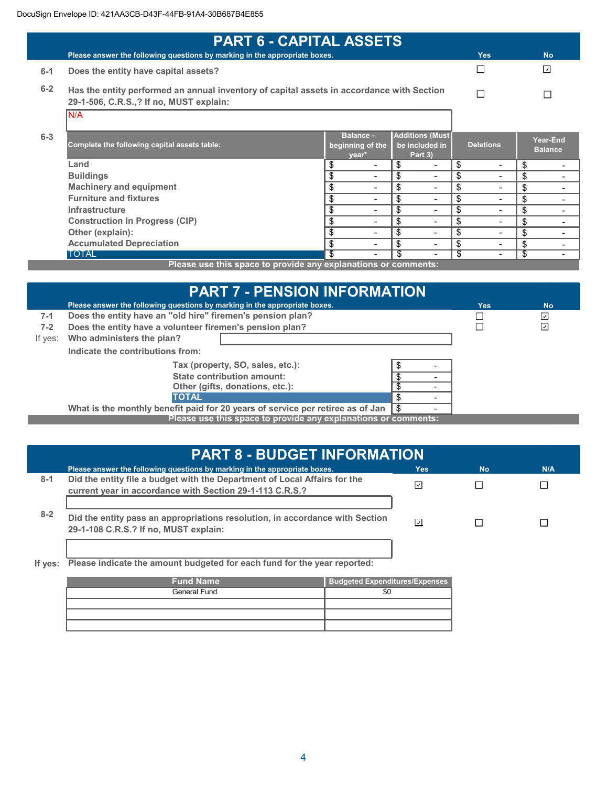| <b>PART 6 - CAPITAL ASSETS</b>               |                                |                                                                                                |                                                                                                                                                           |                                |
|----------------------------------------------|--------------------------------|------------------------------------------------------------------------------------------------|-----------------------------------------------------------------------------------------------------------------------------------------------------------|--------------------------------|
|                                              |                                |                                                                                                | <b>Yes</b>                                                                                                                                                | <b>No</b>                      |
| Does the entity have capital assets?         |                                |                                                                                                |                                                                                                                                                           | $\overline{\mathcal{L}}$       |
| 29-1-506, C.R.S.,? If no, MUST explain:      |                                |                                                                                                | П                                                                                                                                                         |                                |
| IN/A                                         |                                |                                                                                                |                                                                                                                                                           |                                |
| Complete the following capital assets table: | <b>Balance -</b><br>year*      | be included in<br>Part 3)                                                                      | <b>Deletions</b>                                                                                                                                          | Year-End<br><b>Balance</b>     |
| Land                                         | \$                             | \$<br>$\overline{\phantom{0}}$                                                                 | \$                                                                                                                                                        | \$                             |
| <b>Buildings</b>                             | \$<br>$\blacksquare$           | \$<br>$\blacksquare$                                                                           | \$<br>$\overline{\phantom{0}}$                                                                                                                            | \$                             |
| <b>Machinery and equipment</b>               | \$<br>$\blacksquare$           | \$<br>$\overline{\phantom{0}}$                                                                 | \$                                                                                                                                                        | \$                             |
| <b>Furniture and fixtures</b>                | \$<br>$\blacksquare$           | \$<br>$\overline{\phantom{0}}$                                                                 | \$                                                                                                                                                        | \$                             |
| Infrastructure                               | \$<br>$\blacksquare$           | \$<br>$\overline{\phantom{0}}$                                                                 | \$                                                                                                                                                        | \$<br>$\overline{\phantom{0}}$ |
| <b>Construction In Progress (CIP)</b>        | \$<br>$\blacksquare$           | \$<br>$\blacksquare$                                                                           | \$                                                                                                                                                        | \$<br>$\overline{\phantom{0}}$ |
| Other (explain):                             | \$<br>$\overline{\phantom{a}}$ | \$<br>$\blacksquare$                                                                           | \$                                                                                                                                                        | \$<br>$\overline{\phantom{0}}$ |
| <b>Accumulated Depreciation</b>              | \$<br>$\blacksquare$           | \$<br>$\overline{\phantom{0}}$                                                                 | \$                                                                                                                                                        | \$<br>$\overline{\phantom{0}}$ |
| <b>TOTAL</b>                                 | s<br>$\sim$                    |                                                                                                | \$                                                                                                                                                        | \$<br>$\blacksquare$           |
|                                              |                                | Please answer the following questions by marking in the appropriate boxes.<br>beginning of the | Has the entity performed an annual inventory of capital assets in accordance with Section<br>Plasea use this space to provide any evolutions or comments: | <b>Additions (Must</b>         |

Please use this space to provide any explanations or comments: Please use this space to provide any explanations or comments:

| <b>PART 7 - PENSION INFORMATION</b>                            |                                                                                           |  |  |            |           |  |
|----------------------------------------------------------------|-------------------------------------------------------------------------------------------|--|--|------------|-----------|--|
|                                                                | Please answer the following questions by marking in the appropriate boxes.                |  |  | <b>Yes</b> | <b>No</b> |  |
| 7-1                                                            | Does the entity have an "old hire" firemen's pension plan?                                |  |  |            | ⊻         |  |
| $7 - 2$                                                        | Does the entity have a volunteer firemen's pension plan?                                  |  |  |            | ⊡         |  |
| If yes:                                                        | Who administers the plan?                                                                 |  |  |            |           |  |
|                                                                | Indicate the contributions from:                                                          |  |  |            |           |  |
|                                                                | Tax (property, SO, sales, etc.):                                                          |  |  |            |           |  |
|                                                                | State contribution amount:                                                                |  |  |            |           |  |
|                                                                | Other (gifts, donations, etc.):                                                           |  |  |            |           |  |
|                                                                | £.<br><b>TOTAL</b>                                                                        |  |  |            |           |  |
|                                                                | What is the monthly benefit paid for 20 years of service per retiree as of Jan $\sqrt{8}$ |  |  |            |           |  |
| Please use this space to provide any explanations or comments: |                                                                                           |  |  |            |           |  |
|                                                                |                                                                                           |  |  |            |           |  |

|         | <b>PART 8 - BUDGET INFORMATION</b>                                                                                                    |                          |           |     |  |  |
|---------|---------------------------------------------------------------------------------------------------------------------------------------|--------------------------|-----------|-----|--|--|
|         | Please answer the following questions by marking in the appropriate boxes.                                                            | Yes:                     | <b>No</b> | N/A |  |  |
| $8 - 1$ | Did the entity file a budget with the Department of Local Affairs for the<br>current year in accordance with Section 29-1-113 C.R.S.? | ⊡                        |           |     |  |  |
| $8 - 2$ | Did the entity pass an appropriations resolution, in accordance with Section<br>29-1-108 C.R.S.? If no, MUST explain:                 | $\overline{\phantom{0}}$ |           |     |  |  |

If yes: Please indicate the amount budgeted for each fund for the year reported:

| <b>Fund Name</b> | <b>Budgeted Expenditures/Expenses</b> |
|------------------|---------------------------------------|
| General Fund     | \$C                                   |
|                  |                                       |
|                  |                                       |
|                  |                                       |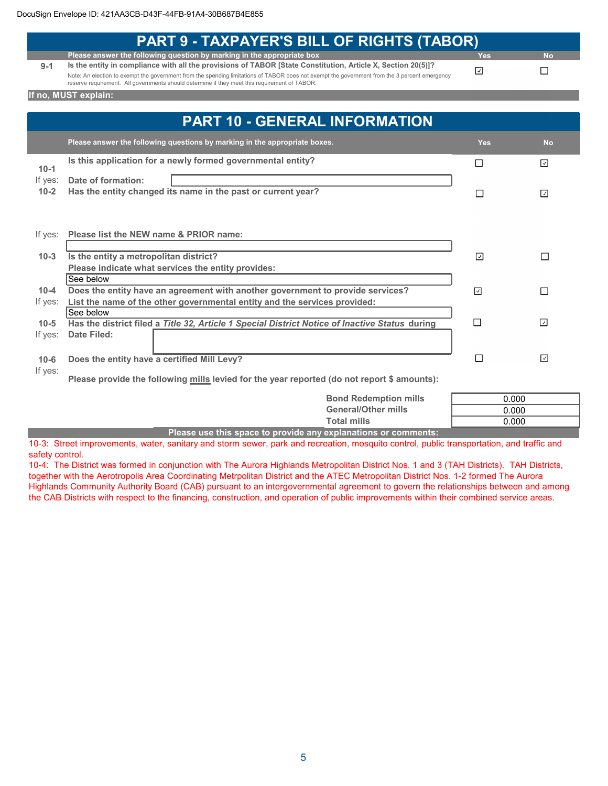|          | <b>PART 9 - TAXPAYER'S BILL OF RIGHTS (TABOR)</b>                                                                                             |                            |                          |
|----------|-----------------------------------------------------------------------------------------------------------------------------------------------|----------------------------|--------------------------|
|          | Please answer the following question by marking in the appropriate box                                                                        | <b>Yes</b>                 | <b>No</b>                |
| $9 - 1$  | Is the entity in compliance with all the provisions of TABOR [State Constitution, Article X, Section 20(5)]?                                  |                            |                          |
|          | Note: An election to exempt the government from the spending limitations of TABOR does not exempt the government from the 3 percent emergency | $\boxed{\textcolor{red}2}$ | $\Box$                   |
|          | reserve requirement. All governments should determine if they meet this requirement of TABOR.                                                 |                            |                          |
|          | If no, MUST explain:                                                                                                                          |                            |                          |
|          |                                                                                                                                               |                            |                          |
|          | <b>PART 10 - GENERAL INFORMATION</b>                                                                                                          |                            |                          |
|          | Please answer the following questions by marking in the appropriate boxes.                                                                    | <b>Yes</b>                 | <b>No</b>                |
|          | Is this application for a newly formed governmental entity?                                                                                   | П                          | $\overline{\mathcal{L}}$ |
| $10-1$   |                                                                                                                                               |                            |                          |
| If yes:  | Date of formation:                                                                                                                            |                            |                          |
| $10 - 2$ | Has the entity changed its name in the past or current year?                                                                                  | П                          | $\overline{\phantom{a}}$ |
|          |                                                                                                                                               |                            |                          |
|          |                                                                                                                                               |                            |                          |
|          |                                                                                                                                               |                            |                          |
| If yes:  | Please list the NEW name & PRIOR name:                                                                                                        |                            |                          |
|          |                                                                                                                                               |                            |                          |
| $10-3$   | Is the entity a metropolitan district?<br>⊡<br>П                                                                                              |                            |                          |
|          | Please indicate what services the entity provides:                                                                                            |                            |                          |
|          | See below                                                                                                                                     |                            |                          |
| $10 - 4$ | Does the entity have an agreement with another government to provide services?                                                                | $\overline{\mathcal{L}}$   | $\Box$                   |
| If yes:  | List the name of the other governmental entity and the services provided:                                                                     |                            |                          |
|          | See below                                                                                                                                     |                            |                          |
| $10 - 5$ | Has the district filed a Title 32, Article 1 Special District Notice of Inactive Status during                                                | $\Box$                     | $\overline{\mathcal{A}}$ |
| If yes:  | Date Filed:                                                                                                                                   |                            |                          |
|          |                                                                                                                                               |                            |                          |
| $10 - 6$ | Does the entity have a certified Mill Levy?                                                                                                   | $\Box$                     | $\overline{\mathcal{L}}$ |
| If yes:  |                                                                                                                                               |                            |                          |
|          | Please provide the following mills levied for the year reported (do not report \$ amounts):                                                   |                            |                          |
|          |                                                                                                                                               |                            |                          |
|          | <b>Bond Redemption mills</b><br><b>General/Other mills</b>                                                                                    | 0.000                      |                          |
|          |                                                                                                                                               | 0.000                      |                          |
|          | <b>Total mills</b>                                                                                                                            | 0.000                      |                          |

Please use this space to provide any explanations or comments:

10-3: Street improvements, water, sanitary and storm sewer, park and recreation, mosquito control, public transportation, and traffic and safety control.

10-4: The District was formed in conjunction with The Aurora Highlands Metropolitan District Nos. 1 and 3 (TAH Districts). TAH Districts, together with the Aerotropolis Area Coordinating Metrpolitan District and the ATEC Metropolitan District Nos. 1-2 formed The Aurora Highlands Community Authority Board (CAB) pursuant to an intergovernmental agreement to govern the relationships between and among the CAB Districts with respect to the financing, construction, and operation of public improvements within their combined service areas.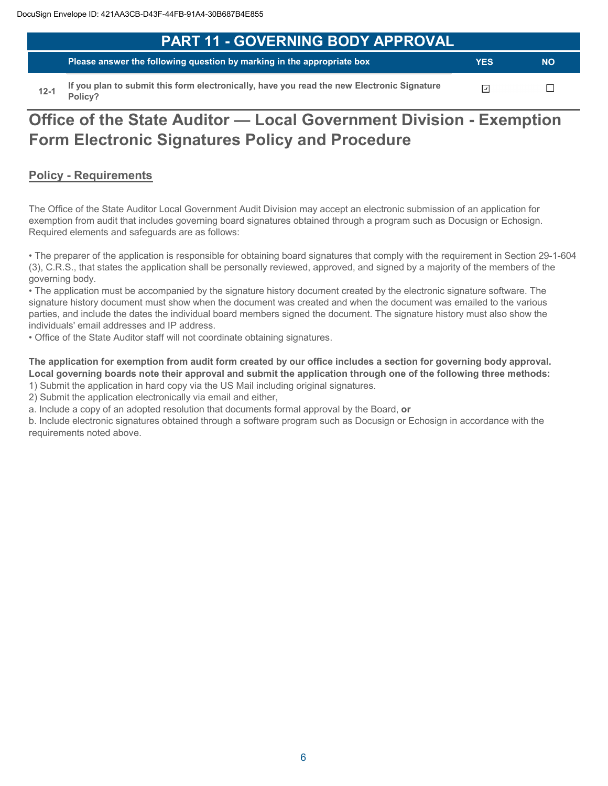| <b>PART 11 - GOVERNING BODY APPROVAL</b>                                                   |            |           |  |
|--------------------------------------------------------------------------------------------|------------|-----------|--|
| Please answer the following question by marking in the appropriate box                     | <b>YES</b> | <b>NO</b> |  |
| If you plan to submit this form electronically, have you read the new Electronic Signature |            |           |  |

 $12 - 1$ Policy?

ப

# Office of the State Auditor - Local Government Division - Exemption **Form Electronic Signatures Policy and Procedure**

# **Policy - Requirements**

The Office of the State Auditor Local Government Audit Division may accept an electronic submission of an application for exemption from audit that includes governing board signatures obtained through a program such as Docusign or Echosign. Required elements and safeguards are as follows:

• The preparer of the application is responsible for obtaining board signatures that comply with the requirement in Section 29-1-604 (3), C.R.S., that states the application shall be personally reviewed, approved, and signed by a majority of the members of the governing body.

• The application must be accompanied by the signature history document created by the electronic signature software. The signature history document must show when the document was created and when the document was emailed to the various parties, and include the dates the individual board members signed the document. The signature history must also show the individuals' email addresses and IP address.

. Office of the State Auditor staff will not coordinate obtaining signatures.

The application for exemption from audit form created by our office includes a section for governing body approval. Local governing boards note their approval and submit the application through one of the following three methods:

1) Submit the application in hard copy via the US Mail including original signatures.

2) Submit the application electronically via email and either,

a. Include a copy of an adopted resolution that documents formal approval by the Board, or

b. Include electronic signatures obtained through a software program such as Docusign or Echosign in accordance with the requirements noted above.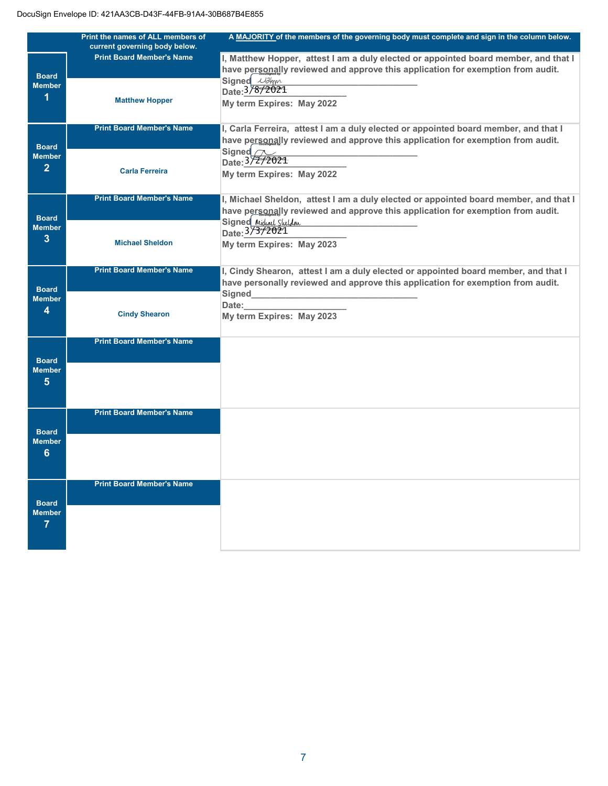|                                                 | Print the names of ALL members of | A MAJORITY of the members of the governing body must complete and sign in the column below.                                                                                            |
|-------------------------------------------------|-----------------------------------|----------------------------------------------------------------------------------------------------------------------------------------------------------------------------------------|
|                                                 | current governing body below.     |                                                                                                                                                                                        |
| <b>Board</b><br><b>Member</b><br>1              | <b>Print Board Member's Name</b>  | I, Matthew Hopper, attest I am a duly elected or appointed board member, and that I<br>have personally reviewed and approve this application for exemption from audit.                 |
|                                                 | <b>Matthew Hopper</b>             | Signed <i>Ullem</i><br>Date: 3/8/2021<br>My term Expires: May 2022                                                                                                                     |
| <b>Board</b>                                    | <b>Print Board Member's Name</b>  | I, Carla Ferreira, attest I am a duly elected or appointed board member, and that I<br>have personally reviewed and approve this application for exemption from audit.                 |
| <b>Member</b><br>$\overline{2}$                 | <b>Carla Ferreira</b>             | Signed $\sim$<br>Date: 3/2/2021<br>My term Expires: May 2022                                                                                                                           |
|                                                 | <b>Print Board Member's Name</b>  | I, Michael Sheldon, attest I am a duly elected or appointed board member, and that I                                                                                                   |
| <b>Board</b><br><b>Member</b><br>3              |                                   | have personally reviewed and approve this application for exemption from audit.<br>Signed Michael Sheldon<br>Date: 37372021                                                            |
|                                                 | <b>Michael Sheldon</b>            | My term Expires: May 2023                                                                                                                                                              |
| <b>Board</b>                                    | <b>Print Board Member's Name</b>  | I, Cindy Shearon, attest I am a duly elected or appointed board member, and that I<br>have personally reviewed and approve this application for exemption from audit.<br><b>Signed</b> |
| <b>Member</b><br>4                              | <b>Cindy Shearon</b>              | Date:<br>My term Expires: May 2023                                                                                                                                                     |
|                                                 | <b>Print Board Member's Name</b>  |                                                                                                                                                                                        |
| <b>Board</b><br><b>Member</b><br>$5\phantom{.}$ |                                   |                                                                                                                                                                                        |
|                                                 | <b>Print Board Member's Name</b>  |                                                                                                                                                                                        |
| <b>Board</b><br><b>Member</b><br>6              |                                   |                                                                                                                                                                                        |
|                                                 | <b>Print Board Member's Name</b>  |                                                                                                                                                                                        |
| <b>Board</b><br><b>Member</b><br>7              |                                   |                                                                                                                                                                                        |
|                                                 |                                   |                                                                                                                                                                                        |